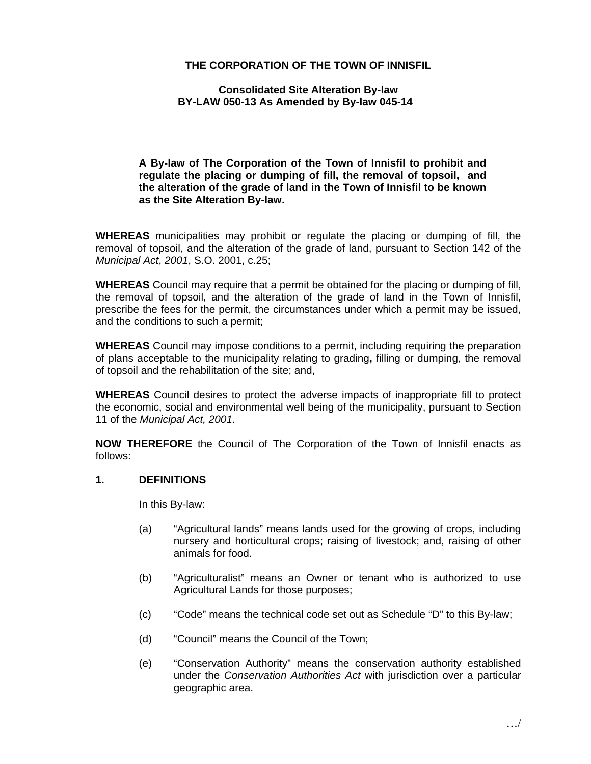## **THE CORPORATION OF THE TOWN OF INNISFIL**

#### **Consolidated Site Alteration By-law BY-LAW 050-13 As Amended by By-law 045-14**

**A By-law of The Corporation of the Town of Innisfil to prohibit and regulate the placing or dumping of fill, the removal of topsoil, and the alteration of the grade of land in the Town of Innisfil to be known as the Site Alteration By-law.** 

**WHEREAS** municipalities may prohibit or regulate the placing or dumping of fill, the removal of topsoil, and the alteration of the grade of land, pursuant to Section 142 of the *Municipal Act*, *2001*, S.O. 2001, c.25;

**WHEREAS** Council may require that a permit be obtained for the placing or dumping of fill, the removal of topsoil, and the alteration of the grade of land in the Town of Innisfil, prescribe the fees for the permit, the circumstances under which a permit may be issued, and the conditions to such a permit;

**WHEREAS** Council may impose conditions to a permit, including requiring the preparation of plans acceptable to the municipality relating to grading**,** filling or dumping, the removal of topsoil and the rehabilitation of the site; and,

**WHEREAS** Council desires to protect the adverse impacts of inappropriate fill to protect the economic, social and environmental well being of the municipality, pursuant to Section 11 of the *Municipal Act, 2001*.

**NOW THEREFORE** the Council of The Corporation of the Town of Innisfil enacts as follows:

## **1. DEFINITIONS**

In this By-law:

- (a) "Agricultural lands" means lands used for the growing of crops, including nursery and horticultural crops; raising of livestock; and, raising of other animals for food.
- (b) "Agriculturalist" means an Owner or tenant who is authorized to use Agricultural Lands for those purposes;
- (c) "Code" means the technical code set out as Schedule "D" to this By-law;
- (d) "Council" means the Council of the Town;
- (e) "Conservation Authority" means the conservation authority established under the *Conservation Authorities Act* with jurisdiction over a particular geographic area.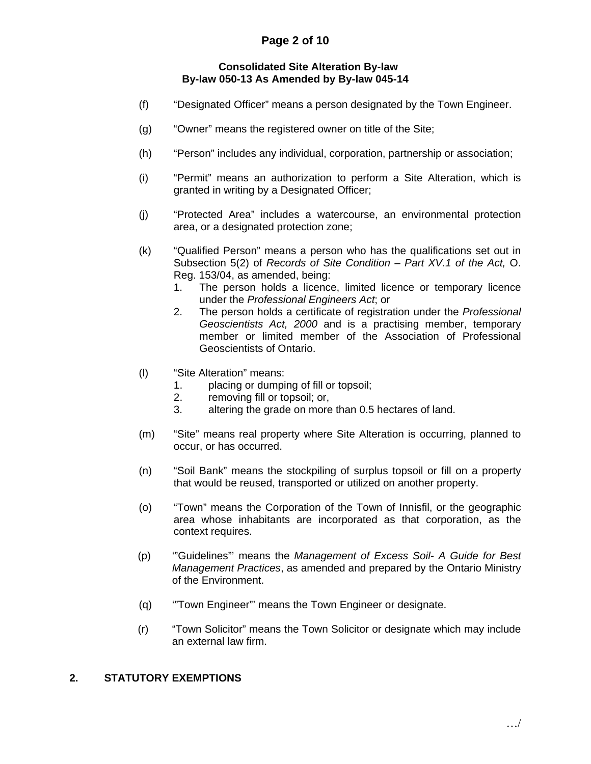# **Page 2 of 10**

#### **Consolidated Site Alteration By-law By-law 050-13 As Amended by By-law 045-14**

- (f) "Designated Officer" means a person designated by the Town Engineer.
- (g) "Owner" means the registered owner on title of the Site;
- (h) "Person" includes any individual, corporation, partnership or association;
- (i) "Permit" means an authorization to perform a Site Alteration, which is granted in writing by a Designated Officer;
- (j) "Protected Area" includes a watercourse, an environmental protection area, or a designated protection zone;
- (k) "Qualified Person" means a person who has the qualifications set out in Subsection 5(2) of *Records of Site Condition – Part XV.1 of the Act,* O. Reg. 153/04, as amended, being:
	- 1. The person holds a licence, limited licence or temporary licence under the *Professional Engineers Act*; or
	- 2. The person holds a certificate of registration under the *Professional Geoscientists Act, 2000* and is a practising member, temporary member or limited member of the Association of Professional Geoscientists of Ontario.
- (l) "Site Alteration" means:
	- 1. placing or dumping of fill or topsoil;
	- 2. removing fill or topsoil; or,
	- 3. altering the grade on more than 0.5 hectares of land.
- (m) "Site" means real property where Site Alteration is occurring, planned to occur, or has occurred.
- (n) "Soil Bank" means the stockpiling of surplus topsoil or fill on a property that would be reused, transported or utilized on another property.
- (o) "Town" means the Corporation of the Town of Innisfil, or the geographic area whose inhabitants are incorporated as that corporation, as the context requires.
- (p) '"Guidelines"' means the *Management of Excess Soil- A Guide for Best Management Practices*, as amended and prepared by the Ontario Ministry of the Environment.
- (q) '"Town Engineer"' means the Town Engineer or designate.
- (r) "Town Solicitor" means the Town Solicitor or designate which may include an external law firm.

#### **2. STATUTORY EXEMPTIONS**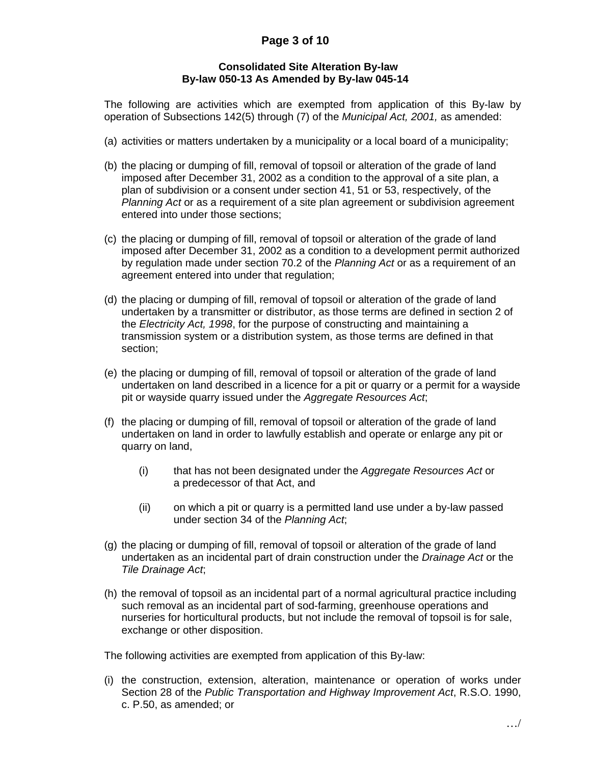# **Page 3 of 10**

#### **Consolidated Site Alteration By-law By-law 050-13 As Amended by By-law 045-14**

 The following are activities which are exempted from application of this By-law by operation of Subsections 142(5) through (7) of the *Municipal Act, 2001,* as amended:

- (a) activities or matters undertaken by a municipality or a local board of a municipality;
- (b) the placing or dumping of fill, removal of topsoil or alteration of the grade of land imposed after December 31, 2002 as a condition to the approval of a site plan, a plan of subdivision or a consent under section 41, 51 or 53, respectively, of the *Planning Act* or as a requirement of a site plan agreement or subdivision agreement entered into under those sections;
- (c) the placing or dumping of fill, removal of topsoil or alteration of the grade of land imposed after December 31, 2002 as a condition to a development permit authorized by regulation made under section 70.2 of the *Planning Act* or as a requirement of an agreement entered into under that regulation;
- (d) the placing or dumping of fill, removal of topsoil or alteration of the grade of land undertaken by a transmitter or distributor, as those terms are defined in section 2 of the *Electricity Act, 1998*, for the purpose of constructing and maintaining a transmission system or a distribution system, as those terms are defined in that section;
- (e) the placing or dumping of fill, removal of topsoil or alteration of the grade of land undertaken on land described in a licence for a pit or quarry or a permit for a wayside pit or wayside quarry issued under the *Aggregate Resources Act*;
- (f) the placing or dumping of fill, removal of topsoil or alteration of the grade of land undertaken on land in order to lawfully establish and operate or enlarge any pit or quarry on land,
	- (i) that has not been designated under the *Aggregate Resources Act* or a predecessor of that Act, and
	- (ii) on which a pit or quarry is a permitted land use under a by-law passed under section 34 of the *Planning Act*;
- (g) the placing or dumping of fill, removal of topsoil or alteration of the grade of land undertaken as an incidental part of drain construction under the *Drainage Act* or the *Tile Drainage Act*;
- (h) the removal of topsoil as an incidental part of a normal agricultural practice including such removal as an incidental part of sod-farming, greenhouse operations and nurseries for horticultural products, but not include the removal of topsoil is for sale, exchange or other disposition.

The following activities are exempted from application of this By-law:

(i) the construction, extension, alteration, maintenance or operation of works under Section 28 of the *Public Transportation and Highway Improvement Act*, R.S.O. 1990, c. P.50, as amended; or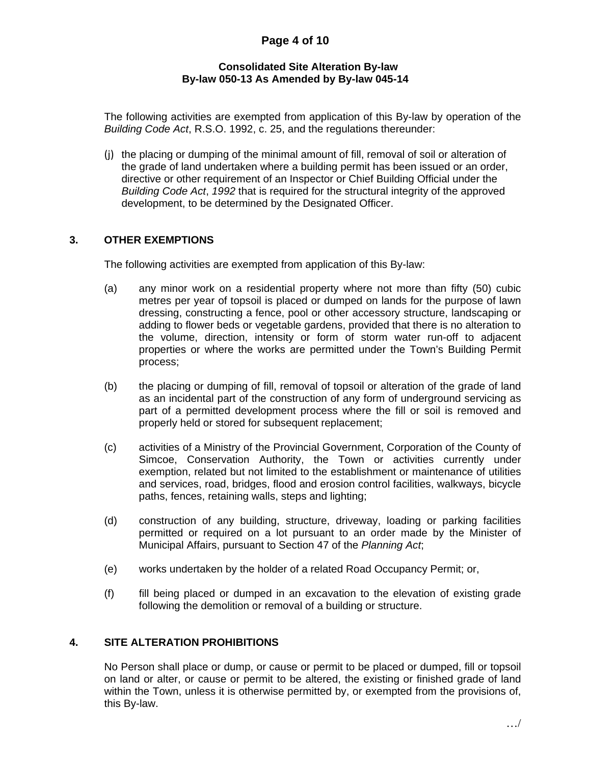# **Page 4 of 10**

### **Consolidated Site Alteration By-law By-law 050-13 As Amended by By-law 045-14**

The following activities are exempted from application of this By-law by operation of the *Building Code Act*, R.S.O. 1992, c. 25, and the regulations thereunder:

(j) the placing or dumping of the minimal amount of fill, removal of soil or alteration of the grade of land undertaken where a building permit has been issued or an order, directive or other requirement of an Inspector or Chief Building Official under the *Building Code Act*, *1992* that is required for the structural integrity of the approved development, to be determined by the Designated Officer.

## **3. OTHER EXEMPTIONS**

The following activities are exempted from application of this By-law:

- (a) any minor work on a residential property where not more than fifty (50) cubic metres per year of topsoil is placed or dumped on lands for the purpose of lawn dressing, constructing a fence, pool or other accessory structure, landscaping or adding to flower beds or vegetable gardens, provided that there is no alteration to the volume, direction, intensity or form of storm water run-off to adjacent properties or where the works are permitted under the Town's Building Permit process;
- (b) the placing or dumping of fill, removal of topsoil or alteration of the grade of land as an incidental part of the construction of any form of underground servicing as part of a permitted development process where the fill or soil is removed and properly held or stored for subsequent replacement;
- (c) activities of a Ministry of the Provincial Government, Corporation of the County of Simcoe, Conservation Authority, the Town or activities currently under exemption, related but not limited to the establishment or maintenance of utilities and services, road, bridges, flood and erosion control facilities, walkways, bicycle paths, fences, retaining walls, steps and lighting;
- (d) construction of any building, structure, driveway, loading or parking facilities permitted or required on a lot pursuant to an order made by the Minister of Municipal Affairs, pursuant to Section 47 of the *Planning Act*;
- (e) works undertaken by the holder of a related Road Occupancy Permit; or,
- (f) fill being placed or dumped in an excavation to the elevation of existing grade following the demolition or removal of a building or structure.

## **4. SITE ALTERATION PROHIBITIONS**

No Person shall place or dump, or cause or permit to be placed or dumped, fill or topsoil on land or alter, or cause or permit to be altered, the existing or finished grade of land within the Town, unless it is otherwise permitted by, or exempted from the provisions of, this By-law.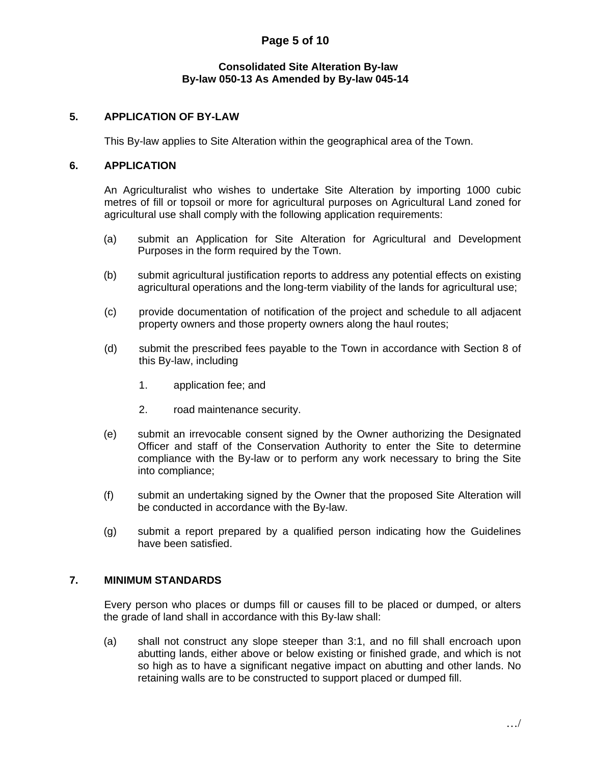# **Page 5 of 10**

#### **Consolidated Site Alteration By-law By-law 050-13 As Amended by By-law 045-14**

## **5. APPLICATION OF BY-LAW**

This By-law applies to Site Alteration within the geographical area of the Town.

#### **6. APPLICATION**

An Agriculturalist who wishes to undertake Site Alteration by importing 1000 cubic metres of fill or topsoil or more for agricultural purposes on Agricultural Land zoned for agricultural use shall comply with the following application requirements:

- (a) submit an Application for Site Alteration for Agricultural and Development Purposes in the form required by the Town.
- (b) submit agricultural justification reports to address any potential effects on existing agricultural operations and the long-term viability of the lands for agricultural use;
- (c) provide documentation of notification of the project and schedule to all adjacent property owners and those property owners along the haul routes;
- (d) submit the prescribed fees payable to the Town in accordance with Section 8 of this By-law, including
	- 1. application fee; and
	- 2. road maintenance security.
- (e) submit an irrevocable consent signed by the Owner authorizing the Designated Officer and staff of the Conservation Authority to enter the Site to determine compliance with the By-law or to perform any work necessary to bring the Site into compliance;
- (f) submit an undertaking signed by the Owner that the proposed Site Alteration will be conducted in accordance with the By-law.
- (g) submit a report prepared by a qualified person indicating how the Guidelines have been satisfied.

## **7. MINIMUM STANDARDS**

 Every person who places or dumps fill or causes fill to be placed or dumped, or alters the grade of land shall in accordance with this By-law shall:

(a) shall not construct any slope steeper than 3:1, and no fill shall encroach upon abutting lands, either above or below existing or finished grade, and which is not so high as to have a significant negative impact on abutting and other lands. No retaining walls are to be constructed to support placed or dumped fill.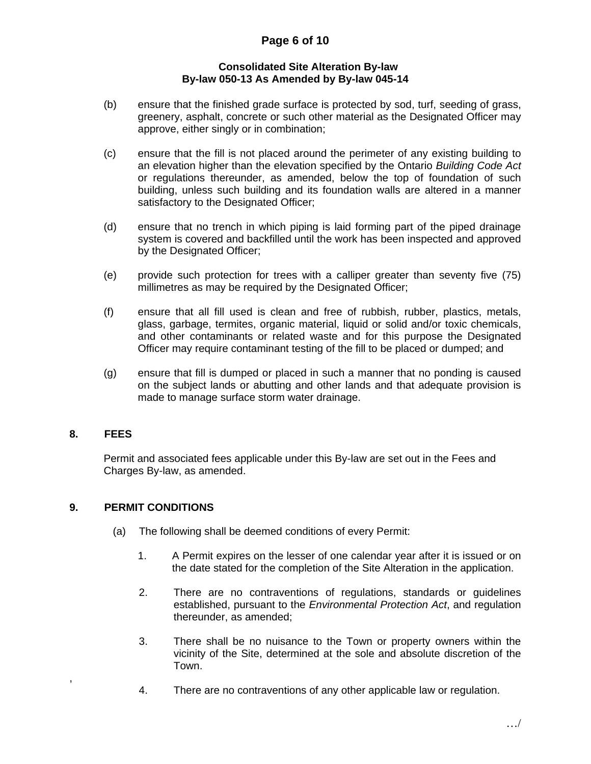# **Page 6 of 10**

### **Consolidated Site Alteration By-law By-law 050-13 As Amended by By-law 045-14**

- (b) ensure that the finished grade surface is protected by sod, turf, seeding of grass, greenery, asphalt, concrete or such other material as the Designated Officer may approve, either singly or in combination;
- (c) ensure that the fill is not placed around the perimeter of any existing building to an elevation higher than the elevation specified by the Ontario *Building Code Act*  or regulations thereunder, as amended, below the top of foundation of such building, unless such building and its foundation walls are altered in a manner satisfactory to the Designated Officer;
- (d) ensure that no trench in which piping is laid forming part of the piped drainage system is covered and backfilled until the work has been inspected and approved by the Designated Officer;
- (e) provide such protection for trees with a calliper greater than seventy five (75) millimetres as may be required by the Designated Officer;
- (f) ensure that all fill used is clean and free of rubbish, rubber, plastics, metals, glass, garbage, termites, organic material, liquid or solid and/or toxic chemicals, and other contaminants or related waste and for this purpose the Designated Officer may require contaminant testing of the fill to be placed or dumped; and
- (g) ensure that fill is dumped or placed in such a manner that no ponding is caused on the subject lands or abutting and other lands and that adequate provision is made to manage surface storm water drainage.

## **8. FEES**

,

Permit and associated fees applicable under this By-law are set out in the Fees and Charges By-law, as amended.

## **9. PERMIT CONDITIONS**

- (a) The following shall be deemed conditions of every Permit:
	- 1. A Permit expires on the lesser of one calendar year after it is issued or on the date stated for the completion of the Site Alteration in the application.
	- 2. There are no contraventions of regulations, standards or guidelines established, pursuant to the *Environmental Protection Act*, and regulation thereunder, as amended;
	- 3. There shall be no nuisance to the Town or property owners within the vicinity of the Site, determined at the sole and absolute discretion of the Town.
	- 4. There are no contraventions of any other applicable law or regulation.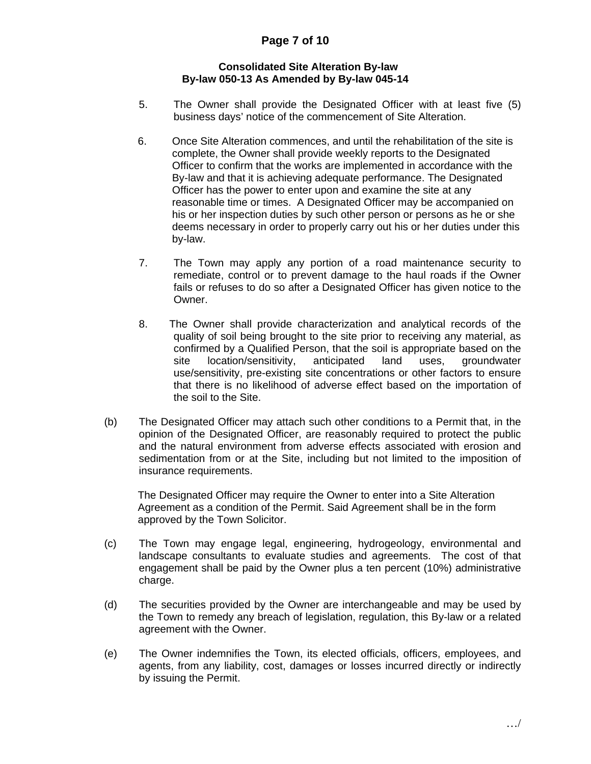## **Consolidated Site Alteration By-law By-law 050-13 As Amended by By-law 045-14**

- 5. The Owner shall provide the Designated Officer with at least five (5) business days' notice of the commencement of Site Alteration.
- 6. Once Site Alteration commences, and until the rehabilitation of the site is complete, the Owner shall provide weekly reports to the Designated Officer to confirm that the works are implemented in accordance with the By-law and that it is achieving adequate performance. The Designated Officer has the power to enter upon and examine the site at any reasonable time or times. A Designated Officer may be accompanied on his or her inspection duties by such other person or persons as he or she deems necessary in order to properly carry out his or her duties under this by-law.
- 7. The Town may apply any portion of a road maintenance security to remediate, control or to prevent damage to the haul roads if the Owner fails or refuses to do so after a Designated Officer has given notice to the Owner.
- 8. The Owner shall provide characterization and analytical records of the quality of soil being brought to the site prior to receiving any material, as confirmed by a Qualified Person, that the soil is appropriate based on the site location/sensitivity, anticipated land uses, groundwater use/sensitivity, pre-existing site concentrations or other factors to ensure that there is no likelihood of adverse effect based on the importation of the soil to the Site.
- (b) The Designated Officer may attach such other conditions to a Permit that, in the opinion of the Designated Officer, are reasonably required to protect the public and the natural environment from adverse effects associated with erosion and sedimentation from or at the Site, including but not limited to the imposition of insurance requirements.

 The Designated Officer may require the Owner to enter into a Site Alteration Agreement as a condition of the Permit. Said Agreement shall be in the form approved by the Town Solicitor.

- (c) The Town may engage legal, engineering, hydrogeology, environmental and landscape consultants to evaluate studies and agreements. The cost of that engagement shall be paid by the Owner plus a ten percent (10%) administrative charge.
- (d) The securities provided by the Owner are interchangeable and may be used by the Town to remedy any breach of legislation, regulation, this By-law or a related agreement with the Owner.
- (e) The Owner indemnifies the Town, its elected officials, officers, employees, and agents, from any liability, cost, damages or losses incurred directly or indirectly by issuing the Permit.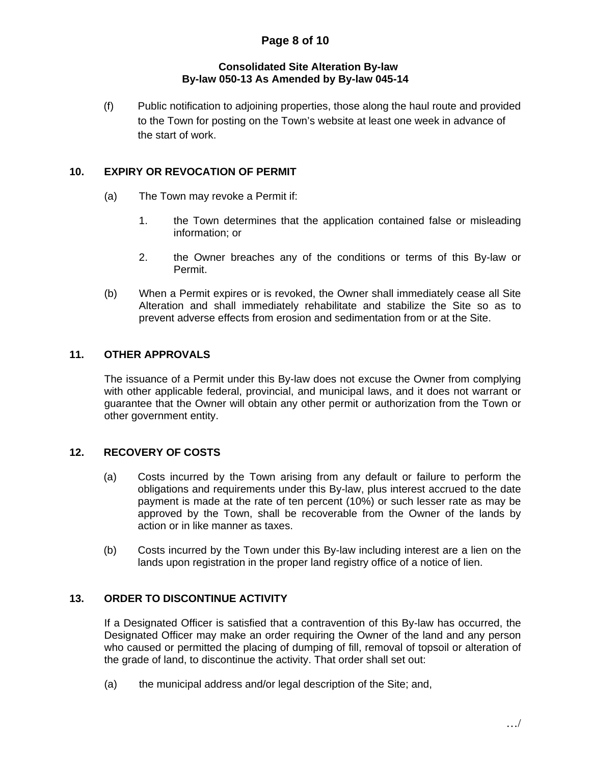## **Consolidated Site Alteration By-law By-law 050-13 As Amended by By-law 045-14**

(f) Public notification to adjoining properties, those along the haul route and provided to the Town for posting on the Town's website at least one week in advance of the start of work.

## **10. EXPIRY OR REVOCATION OF PERMIT**

- (a) The Town may revoke a Permit if:
	- 1. the Town determines that the application contained false or misleading information; or
	- 2. the Owner breaches any of the conditions or terms of this By-law or Permit.
- (b) When a Permit expires or is revoked, the Owner shall immediately cease all Site Alteration and shall immediately rehabilitate and stabilize the Site so as to prevent adverse effects from erosion and sedimentation from or at the Site.

## **11. OTHER APPROVALS**

The issuance of a Permit under this By-law does not excuse the Owner from complying with other applicable federal, provincial, and municipal laws, and it does not warrant or guarantee that the Owner will obtain any other permit or authorization from the Town or other government entity.

## **12. RECOVERY OF COSTS**

- (a) Costs incurred by the Town arising from any default or failure to perform the obligations and requirements under this By-law, plus interest accrued to the date payment is made at the rate of ten percent (10%) or such lesser rate as may be approved by the Town, shall be recoverable from the Owner of the lands by action or in like manner as taxes.
- (b) Costs incurred by the Town under this By-law including interest are a lien on the lands upon registration in the proper land registry office of a notice of lien.

## **13. ORDER TO DISCONTINUE ACTIVITY**

If a Designated Officer is satisfied that a contravention of this By-law has occurred, the Designated Officer may make an order requiring the Owner of the land and any person who caused or permitted the placing of dumping of fill, removal of topsoil or alteration of the grade of land, to discontinue the activity. That order shall set out:

(a) the municipal address and/or legal description of the Site; and,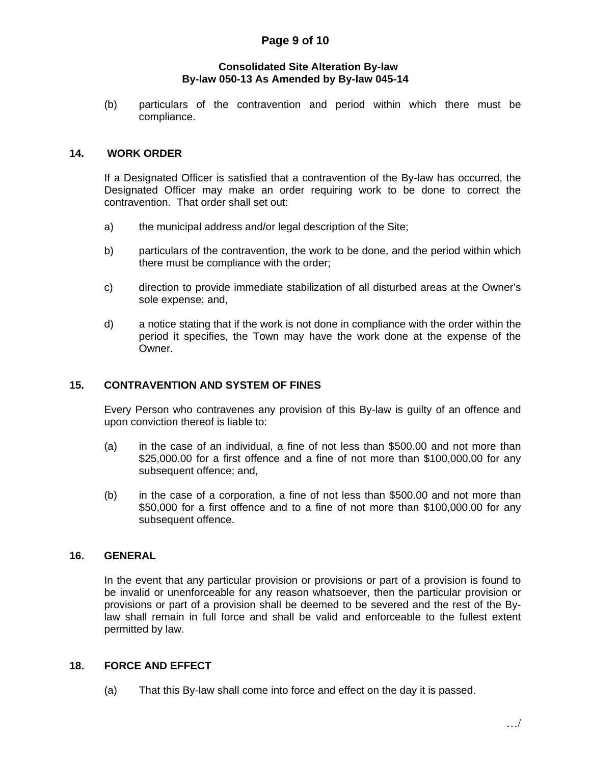## **Page 9 of 10**

#### **Consolidated Site Alteration By-law By-law 050-13 As Amended by By-law 045-14**

 (b) particulars of the contravention and period within which there must be compliance.

#### **14. WORK ORDER**

If a Designated Officer is satisfied that a contravention of the By-law has occurred, the Designated Officer may make an order requiring work to be done to correct the contravention. That order shall set out:

- a) the municipal address and/or legal description of the Site;
- b) particulars of the contravention, the work to be done, and the period within which there must be compliance with the order;
- c) direction to provide immediate stabilization of all disturbed areas at the Owner's sole expense; and,
- d) a notice stating that if the work is not done in compliance with the order within the period it specifies, the Town may have the work done at the expense of the Owner.

## **15. CONTRAVENTION AND SYSTEM OF FINES**

Every Person who contravenes any provision of this By-law is guilty of an offence and upon conviction thereof is liable to:

- (a) in the case of an individual, a fine of not less than \$500.00 and not more than \$25,000.00 for a first offence and a fine of not more than \$100,000.00 for any subsequent offence; and,
- (b) in the case of a corporation, a fine of not less than \$500.00 and not more than \$50,000 for a first offence and to a fine of not more than \$100,000.00 for any subsequent offence.

#### **16. GENERAL**

 In the event that any particular provision or provisions or part of a provision is found to be invalid or unenforceable for any reason whatsoever, then the particular provision or provisions or part of a provision shall be deemed to be severed and the rest of the Bylaw shall remain in full force and shall be valid and enforceable to the fullest extent permitted by law.

#### **18. FORCE AND EFFECT**

(a) That this By-law shall come into force and effect on the day it is passed.